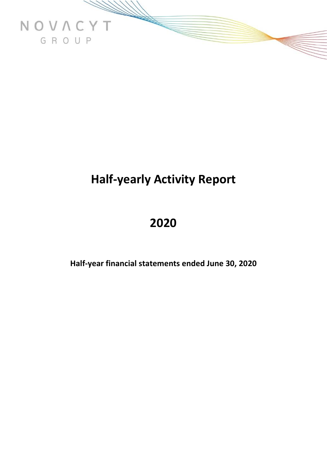

# **Half-yearly Activity Report**

# **2020**

**Half-year financial statements ended June 30, 2020**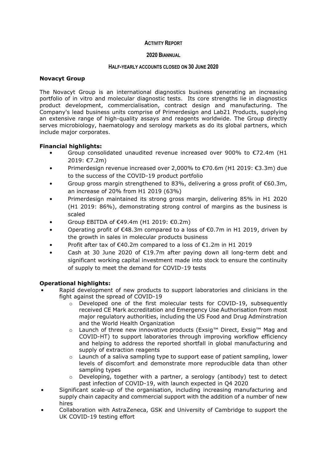#### **ACTIVITY REPORT**

#### **2020 BIANNUAL**

#### **HALF-YEARLY ACCOUNTS CLOSED ON 30 JUNE 2020**

#### **Novacyt Group**

The Novacyt Group is an international diagnostics business generating an increasing portfolio of in vitro and molecular diagnostic tests. Its core strengths lie in diagnostics product development, commercialisation, contract design and manufacturing. The Company's lead business units comprise of Primerdesign and Lab21 Products, supplying an extensive range of high-quality assays and reagents worldwide. The Group directly serves microbiology, haematology and serology markets as do its global partners, which include major corporates.

#### **Financial highlights:**

- Group consolidated unaudited revenue increased over 900% to €72.4m (H1 2019: €7.2m)
- Primerdesign revenue increased over 2,000% to €70.6m (H1 2019: €3.3m) due to the success of the COVID-19 product portfolio
- Group gross margin strengthened to 83%, delivering a gross profit of  $\epsilon$ 60.3m, an increase of 20% from H1 2019 (63%)
- Primerdesign maintained its strong gross margin, delivering 85% in H1 2020 (H1 2019: 86%), demonstrating strong control of margins as the business is scaled
- Group EBITDA of €49.4m (H1 2019: €0.2m)
- Operating profit of €48.3m compared to a loss of €0.7m in H1 2019, driven by the growth in sales in molecular products business
- Profit after tax of €40.2m compared to a loss of €1.2m in H1 2019
- Cash at 30 June 2020 of  $E19.7m$  after paying down all long-term debt and significant working capital investment made into stock to ensure the continuity of supply to meet the demand for COVID-19 tests

### **Operational highlights:**

- Rapid development of new products to support laboratories and clinicians in the fight against the spread of COVID-19
	- o Developed one of the first molecular tests for COVID-19, subsequently received CE Mark accreditation and Emergency Use Authorisation from most major regulatory authorities, including the US Food and Drug Adminstration and the World Health Organization
	- o Launch of three new innovative products (Exsig™ Direct, Exsig™ Mag and COVID-HT) to support laboratories through improving workflow efficiency and helping to address the reported shortfall in global manufacturing and supply of extraction reagents
	- o Launch of a saliva sampling type to support ease of patient sampling, lower levels of discomfort and demonstrate more reproducible data than other sampling types
	- o Developing, together with a partner, a serology (antibody) test to detect past infection of COVID-19, with launch expected in Q4 2020
- Significant scale-up of the organisation, including increasing manufacturing and supply chain capacity and commercial support with the addition of a number of new hires
- Collaboration with AstraZeneca, GSK and University of Cambridge to support the UK COVID-19 testing effort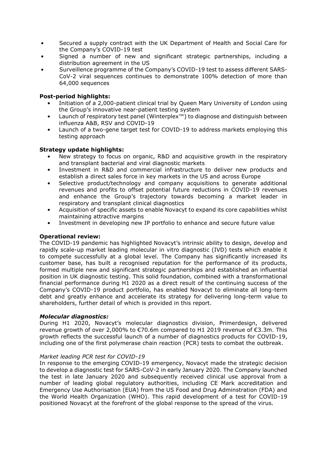- Secured a supply contract with the UK Department of Health and Social Care for the Company's COVID-19 test
- Signed a number of new and significant strategic partnerships, including a distribution agreement in the US
- Surveillence programme of the Company's COVID-19 test to assess different SARS-CoV-2 viral sequences continues to demonstrate 100% detection of more than 64,000 sequences

#### **Post-period highlights:**

- Initiation of a 2,000-patient clinical trial by Queen Mary University of London using the Group's innovative near-patient testing system
- Launch of respiratory test panel (Winterplex™) to diagnose and distinguish between influenza A&B, RSV and COVID-19
- Launch of a two-gene target test for COVID-19 to address markets employing this testing approach

#### **Strategy update highlights:**

- New strategy to focus on organic, R&D and acquisitive growth in the respiratory and transplant bacterial and viral diagnostic markets
- Investment in R&D and commercial infrastructure to deliver new products and establish a direct sales force in key markets in the US and across Europe
- Selective product/technology and company acquisitions to generate additional revenues and profits to offset potential future reductions in COVID-19 revenues and enhance the Group's trajectory towards becoming a market leader in respiratory and transplant clinical diagnostics
- Acquisition of specific assets to enable Novacyt to expand its core capabilities whilst maintaining attractive margins
- Investment in developing new IP portfolio to enhance and secure future value

#### **Operational review:**

The COVID-19 pandemic has highlighted Novacyt's intrinsic ability to design, develop and rapidly scale-up market leading molecular in vitro diagnostic (IVD) tests which enable it to compete successfully at a global level. The Company has significantly increased its customer base, has built a recognised reputation for the performance of its products, formed multiple new and significant strategic partnerships and established an influential position in UK diagnostic testing. This solid foundation, combined with a transformational financial performance during H1 2020 as a direct result of the continuing success of the Company's COVID-19 product portfolio, has enabled Novacyt to eliminate all long-term debt and greatly enhance and accelerate its strategy for delivering long-term value to shareholders, further detail of which is provided in this report.

#### *Molecular diagnostics:*

During H1 2020, Novacyt's molecular diagnostics division, Primerdesign, delivered revenue growth of over 2,000% to €70.6m compared to H1 2019 revenue of €3.3m. This growth reflects the successful launch of a number of diagnostics products for COVID-19, including one of the first polymerase chain reaction (PCR) tests to combat the outbreak.

#### *Market leading PCR test for COVID-19*

In response to the emerging COVID-19 emergency, Novacyt made the strategic decision to develop a diagnostic test for SARS-CoV-2 in early January 2020. The Company launched the test in late January 2020 and subsequently received clinical use approval from a number of leading global regulatory authorities, including CE Mark accreditation and Emergency Use Authorisation (EUA) from the US Food and Drug Adminstration (FDA) and the World Health Organization (WHO). This rapid development of a test for COVID-19 positioned Novacyt at the forefront of the global response to the spread of the virus.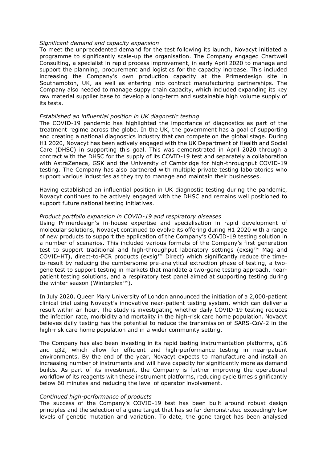#### *Significant demand and capacity expansion*

To meet the unprecedented demand for the test following its launch, Novacyt initiated a programme to significantly scale-up the organisation. The Company engaged Chartwell Consulting, a specialist in rapid process improvement, in early April 2020 to manage and support the planning, procurement and logistics for the capacity increase. This included increasing the Company's own production capacity at the Primerdesign site in Southampton, UK, as well as entering into contract manufacturing partnerships. The Company also needed to manage suppy chain capacity, which included expanding its key raw material supplier base to develop a long-term and sustainable high volume supply of its tests.

#### *Established an influential position in UK diagnostic testing*

The COVID-19 pandemic has highlighted the importance of diagnostics as part of the treatment regime across the globe. In the UK, the government has a goal of supporting and creating a national diagnostics industry that can compete on the global stage. During H1 2020, Novacyt has been actively engaged with the UK Department of Health and Social Care (DHSC) in supporting this goal. This was demonstrated in April 2020 through a contract with the DHSC for the supply of its COVID-19 test and separately a collaboration with AstraZeneca, GSK and the University of Cambridge for high-throughput COVID-19 testing. The Company has also partnered with multiple private testing laboratories who support various industries as they try to manage and maintain their businesses.

Having established an influential position in UK diagnostic testing during the pandemic, Novacyt continues to be actively engaged with the DHSC and remains well positioned to support future national testing initiatives.

#### *Product portfolio expansion in COVID-19 and respiratory diseases*

Using Primerdesign's in-house expertise and specialisation in rapid development of molecular solutions, Novacyt continued to evolve its offering during H1 2020 with a range of new products to support the application of the Company's COVID-19 testing solution in a number of scenarios. This included various formats of the Company's first generation test to support traditional and high-throughput laboratory settings (exsig™ Mag and COVID-HT), direct-to-PCR products (exsig™ Direct) which significantly reduce the timeto-result by reducing the cumbersome pre-analytical extraction phase of testing, a twogene test to support testing in markets that mandate a two-gene testing approach, nearpatient testing solutions, and a respiratory test panel aimed at supporting testing during the winter season (Winterplex™).

In July 2020, Queen Mary University of London announced the initiation of a 2,000-patient clinical trial using Novacyt's innovative near-patient testing system, which can deliver a result within an hour. The study is investigating whether daily COVID-19 testing reduces the infection rate, morbidity and mortality in the high-risk care home population. Novacyt believes daily testing has the potential to reduce the transmission of SARS-CoV-2 in the high-risk care home population and in a wider community setting.

The Company has also been investing in its rapid testing instrumentation platforms, q16 and q32, which allow for efficient and high-performance testing in near-patient environments. By the end of the year, Novacyt expects to manufacture and install an increasing number of instruments and will have capacity for significantly more as demand builds. As part of its investment, the Company is further improving the operational workflow of its reagents with these instrument platforms, reducing cycle times significantly below 60 minutes and reducing the level of operator involvement.

#### *Continued high-performance of products*

The success of the Company's COVID-19 test has been built around robust design principles and the selection of a gene target that has so far demonstrated exceedingly low levels of genetic mutation and variation. To date, the gene target has been analysed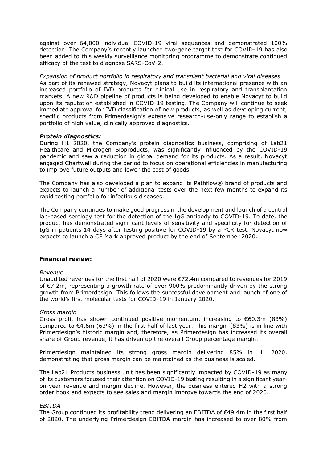against over 64,000 individual COVID-19 viral sequences and demonstrated 100% detection. The Company's recently launched two-gene target test for COVID-19 has also been added to this weekly surveillance monitoring programme to demonstrate continued efficacy of the test to diagnose SARS-CoV-2.

*Expansion of product portfolio in respiratory and transplant bacterial and viral diseases* As part of its renewed strategy, Novacyt plans to build its international presence with an increased portfolio of IVD products for clinical use in respiratory and transplantation markets. A new R&D pipeline of products is being developed to enable Novacyt to build upon its reputation established in COVID-19 testing. The Company will continue to seek immediate approval for IVD classification of new products, as well as developing current, specific products from Primerdesign's extensive research-use-only range to establish a portfolio of high value, clinically approved diagnostics.

#### *Protein diagnostics:*

During H1 2020, the Company's protein diagnostics business, comprising of Lab21 Healthcare and Microgen Bioproducts, was significantly influenced by the COVID-19 pandemic and saw a reduction in global demand for its products. As a result, Novacyt engaged Chartwell during the period to focus on operational efficiencies in manufacturing to improve future outputs and lower the cost of goods.

The Company has also developed a plan to expand its Pathflow $\mathcal{R}$  brand of products and expects to launch a number of additional tests over the next few months to expand its rapid testing portfolio for infectious diseases.

The Company continues to make good progress in the development and launch of a central lab-based serology test for the detection of the IgG antibody to COVID-19. To date, the product has demonstrated significant levels of sensitivity and specificity for detection of IgG in patients 14 days after testing positive for COVID-19 by a PCR test. Novacyt now expects to launch a CE Mark approved product by the end of September 2020.

#### **Financial review:**

#### *Revenue*

Unaudited revenues for the first half of 2020 were €72.4m compared to revenues for 2019 of €7.2m, representing a growth rate of over 900% predominantly driven by the strong growth from Primerdesign. This follows the successful development and launch of one of the world's first molecular tests for COVID-19 in January 2020.

#### *Gross margin*

Gross profit has shown continued positive momentum, increasing to €60.3m (83%) compared to €4.6m (63%) in the first half of last year. This margin (83%) is in line with Primerdesign's historic margin and, therefore, as Primerdesign has increased its overall share of Group revenue, it has driven up the overall Group percentage margin.

Primerdesign maintained its strong gross margin delivering 85% in H1 2020, demonstrating that gross margin can be maintained as the business is scaled.

The Lab21 Products business unit has been significantly impacted by COVID-19 as many of its customers focused their attention on COVID-19 testing resulting in a significant yearon-year revenue and margin decline. However, the business entered H2 with a strong order book and expects to see sales and margin improve towards the end of 2020.

#### *EBITDA*

The Group continued its profitability trend delivering an EBITDA of €49.4m in the first half of 2020. The underlying Primerdesign EBITDA margin has increased to over 80% from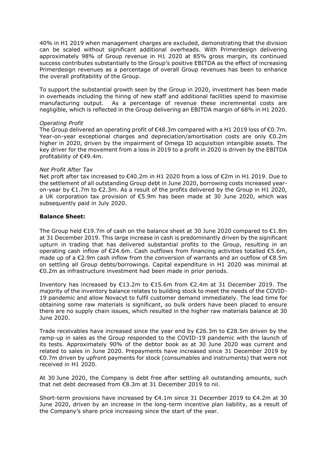40% in H1 2019 when management charges are excluded, demonstrating that the division can be scaled without significant additional overheads. With Primerdesign delivering approximately 98% of Group revenue in H1 2020 at 85% gross margin, its continued success contributes substantially to the Group's positive EBITDA as the effect of increasing Primerdesign revenues as a percentage of overall Group revenues has been to enhance the overall profitability of the Group.

To support the substantial growth seen by the Group in 2020, investment has been made in overheads including the hiring of new staff and additional facilities spend to maximise manufacturing output. As a percentage of revenue these incremnental costs are negligible, which is reflected in the Group delivering an EBITDA margin of 68% in H1 2020.

#### *Operating Profit*

The Group delivered an operating profit of  $\epsilon$ 48.3m compared with a H1 2019 loss of  $\epsilon$ 0.7m. Year-on-year exceptional charges and depreciation/amortisation costs are only €0.2m higher in 2020, driven by the impairment of Omega ID acquisition intangible assets. The key driver for the movement from a loss in 2019 to a profit in 2020 is driven by the EBITDA profitability of €49.4m.

#### *Net Profit After Tax*

Net proft after tax increased to €40.2m in H1 2020 from a loss of €2m in H1 2019. Due to the settlement of all outstanding Group debt in June 2020, borrowing costs increased yearon-year by  $E1.7m$  to  $E2.3m$ . As a result of the profits delivered by the Group in H1 2020, a UK corporation tax provision of €5.9m has been made at 30 June 2020, which was subsequently paid in July 2020.

#### **Balance Sheet:**

The Group held €19.7m of cash on the balance sheet at 30 June 2020 compared to €1.8m at 31 December 2019. This large increase in cash is predominantly driven by the significant upturn in trading that has delivered substantial profits to the Group, resulting in an operating cash inflow of €24.6m. Cash outflows from financing activities totalled €5.6m, made up of a €2.9m cash inflow from the conversion of warrants and an outflow of €8.5m on settling all Group debts/borrowings. Capital expenditure in H1 2020 was minimal at €0.2m as infrastructure investment had been made in prior periods.

Inventory has increased by  $\epsilon$ 13.2m to  $\epsilon$ 15.6m from  $\epsilon$ 2.4m at 31 December 2019. The majority of the inventory balance relates to building stock to meet the needs of the COVID-19 pandemic and allow Novacyt to fulfil customer demand immediately. The lead time for obtaining some raw materials is significant, so bulk orders have been placed to ensure there are no supply chain issues, which resulted in the higher raw materials balance at 30 June 2020.

Trade receivables have increased since the year end by  $\epsilon$ 26.3m to  $\epsilon$ 28.5m driven by the ramp-up in sales as the Group responded to the COVID-19 pandemic with the launch of its tests. Approximately 90% of the debtor book as at 30 June 2020 was current and related to sales in June 2020. Prepayments have increased since 31 December 2019 by €0.7m driven by upfront payments for stock (consumables and instruments) that were not received in H1 2020.

At 30 June 2020, the Company is debt free after settling all outstanding amounts, such that net debt decreased from €8.3m at 31 December 2019 to nil.

Short-term provisions have increased by €4.1m since 31 December 2019 to €4.2m at 30 June 2020, driven by an increase in the long-term incentive plan liability, as a result of the Company's share price increasing since the start of the year.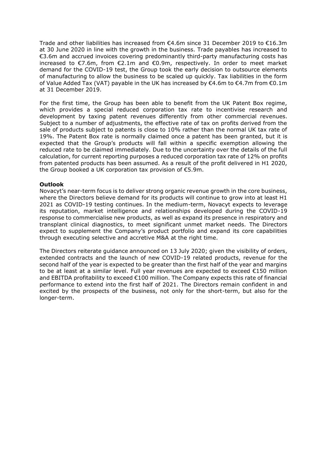Trade and other liabilities has increased from  $\epsilon$ 4.6m since 31 December 2019 to  $\epsilon$ 16.3m at 30 June 2020 in line with the growth in the business. Trade payables has increased to €3.6m and accrued invoices covering predominantly third-party manufacturing costs has increased to €7.6m, from €2.1m and €0.9m, respectively. In order to meet market demand for the COVID-19 test, the Group took the early decision to outsource elements of manufacturing to allow the business to be scaled up quickly. Tax liabilities in the form of Value Added Tax (VAT) payable in the UK has increased by  $\epsilon$ 4.6m to  $\epsilon$ 4.7m from  $\epsilon$ 0.1m at 31 December 2019.

For the first time, the Group has been able to benefit from the UK Patent Box regime, which provides a special reduced corporation tax rate to incentivise research and development by taxing [patent](https://eur02.safelinks.protection.outlook.com/?url=https%3A%2F%2Fen.wikipedia.org%2Fwiki%2FIntellectual_property&data=02%7C01%7Csteve.gibson%40novacyt.com%7C8b06dbf44aef4eb263e508d8330f559b%7C7f86b855a6074882a2cf7ae773bd7869%7C0%7C0%7C637315488243249380&sdata=ETOx05SidyaMqjTCu5gOPlC0bRR40Spfe6ELvkfWrHM%3D&reserved=0) revenues differently from other commercial revenues. Subject to a number of adjustments, the effective rate of tax on profits derived from the sale of products subject to patents is close to 10% rather than the normal UK tax rate of 19%. The Patent Box rate is normally claimed once a patent has been granted, but it is expected that the Group's products will fall within a specific exemption allowing the reduced rate to be claimed immediately. Due to the uncertainty over the details of the full calculation, for current reporting purposes a reduced corporation tax rate of 12% on profits from patented products has been assumed. As a result of the profit delivered in H1 2020, the Group booked a UK corporation tax provision of €5.9m.

#### **Outlook**

Novacyt's near-term focus is to deliver strong organic revenue growth in the core business, where the Directors believe demand for its products will continue to grow into at least H1 2021 as COVID-19 testing continues. In the medium-term, Novacyt expects to leverage its reputation, market intelligence and relationships developed during the COVID-19 response to commercialise new products, as well as expand its presence in respiratory and transplant clinical diagnostics, to meet significant unmet market needs. The Directors expect to supplement the Company's product portfolio and expand its core capabilities through executing selective and accretive M&A at the right time.

The Directors reiterate guidance announced on 13 July 2020; given the visibility of orders, extended contracts and the launch of new COVID-19 related products, revenue for the second half of the year is expected to be greater than the first half of the year and margins to be at least at a similar level. Full year revenues are expected to exceed €150 million and EBITDA profitability to exceed €100 million. The Company expects this rate of financial performance to extend into the first half of 2021. The Directors remain confident in and excited by the prospects of the business, not only for the short-term, but also for the longer-term.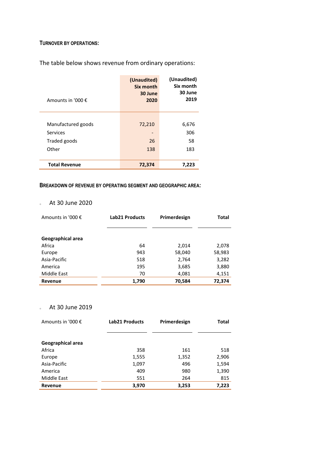#### **TURNOVER BY OPERATIONS:**

The table below shows revenue from ordinary operations:

| Amounts in '000 €    | (Unaudited)<br>Six month<br>30 June<br>2020 | (Unaudited)<br>Six month<br>30 June<br>2019 |
|----------------------|---------------------------------------------|---------------------------------------------|
|                      |                                             |                                             |
| Manufactured goods   | 72,210                                      | 6,676                                       |
| Services             |                                             | 306                                         |
| Traded goods         | 26                                          | 58                                          |
| Other                | 138                                         | 183                                         |
|                      |                                             |                                             |
| <b>Total Revenue</b> | 72,374                                      | 7,223                                       |

#### **BREAKDOWN OF REVENUE BY OPERATING SEGMENT AND GEOGRAPHIC AREA:**

## <sup>o</sup> At 30 June 2020

| Amounts in '000 € | Lab21 Products | Primerdesign | Total  |
|-------------------|----------------|--------------|--------|
|                   |                |              |        |
|                   |                |              |        |
| Geographical area |                |              |        |
| Africa            | 64             | 2,014        | 2,078  |
| Europe            | 943            | 58,040       | 58,983 |
| Asia-Pacific      | 518            | 2,764        | 3,282  |
| America           | 195            | 3,685        | 3,880  |
| Middle East       | 70             | 4,081        | 4,151  |
| <b>Revenue</b>    | 1,790          | 70,584       | 72,374 |

### <sup>o</sup> At 30 June 2019

| Amounts in '000 € | <b>Lab21 Products</b> | Primerdesign | Total |
|-------------------|-----------------------|--------------|-------|
|                   |                       |              |       |
|                   |                       |              |       |
| Geographical area |                       |              |       |
| Africa            | 358                   | 161          | 518   |
| Europe            | 1,555                 | 1,352        | 2,906 |
| Asia-Pacific      | 1,097                 | 496          | 1,594 |
| America           | 409                   | 980          | 1,390 |
| Middle East       | 551                   | 264          | 815   |
| Revenue           | 3,970                 | 3,253        | 7,223 |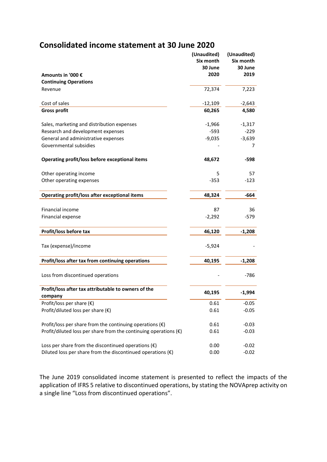# **Consolidated income statement at 30 June 2020**

|                                                                           | (Unaudited)<br>Six month | (Unaudited)<br>Six month |
|---------------------------------------------------------------------------|--------------------------|--------------------------|
|                                                                           | 30 June                  | 30 June                  |
| Amounts in '000 €                                                         | 2020                     | 2019                     |
| <b>Continuing Operations</b>                                              |                          |                          |
| Revenue                                                                   | 72,374                   | 7,223                    |
|                                                                           |                          |                          |
| Cost of sales                                                             | $-12,109$                | $-2,643$                 |
| <b>Gross profit</b>                                                       | 60,265                   | 4,580                    |
|                                                                           |                          |                          |
| Sales, marketing and distribution expenses                                | $-1,966$                 | $-1,317$                 |
| Research and development expenses                                         | $-593$                   | $-229$                   |
| General and administrative expenses                                       | $-9,035$                 | $-3,639$                 |
| Governmental subsidies                                                    |                          | 7                        |
|                                                                           |                          |                          |
| Operating profit/loss before exceptional items                            | 48,672                   | -598                     |
|                                                                           |                          |                          |
| Other operating income                                                    | 5                        | 57                       |
| Other operating expenses                                                  | $-353$                   | $-123$                   |
| Operating profit/loss after exceptional items                             | 48,324                   | -664                     |
|                                                                           |                          |                          |
| Financial income                                                          | 87                       | 36                       |
| Financial expense                                                         | $-2,292$                 | $-579$                   |
|                                                                           |                          |                          |
| Profit/loss before tax                                                    | 46,120                   | $-1,208$                 |
| Tax (expense)/income                                                      | $-5,924$                 |                          |
|                                                                           |                          |                          |
| Profit/loss after tax from continuing operations                          | 40,195                   | $-1,208$                 |
|                                                                           |                          |                          |
| Loss from discontinued operations                                         |                          | $-786$                   |
| Profit/loss after tax attributable to owners of the                       |                          |                          |
| company                                                                   | 40,195                   | $-1,994$                 |
| Profit/loss per share $(\epsilon)$                                        | 0.61                     | $-0.05$                  |
| Profit/diluted loss per share $(\epsilon)$                                | 0.61                     | $-0.05$                  |
|                                                                           |                          |                          |
| Profit/loss per share from the continuing operations $(\epsilon)$         | 0.61                     | $-0.03$                  |
| Profit/diluted loss per share from the continuing operations $(\epsilon)$ | 0.61                     | $-0.03$                  |
|                                                                           |                          |                          |
| Loss per share from the discontinued operations $(\epsilon)$              | 0.00                     | $-0.02$                  |
| Diluted loss per share from the discontinued operations $(\epsilon)$      | 0.00                     | $-0.02$                  |

The June 2019 consolidated income statement is presented to reflect the impacts of the application of IFRS 5 relative to discontinued operations, by stating the NOVAprep activity on a single line "Loss from discontinued operations".